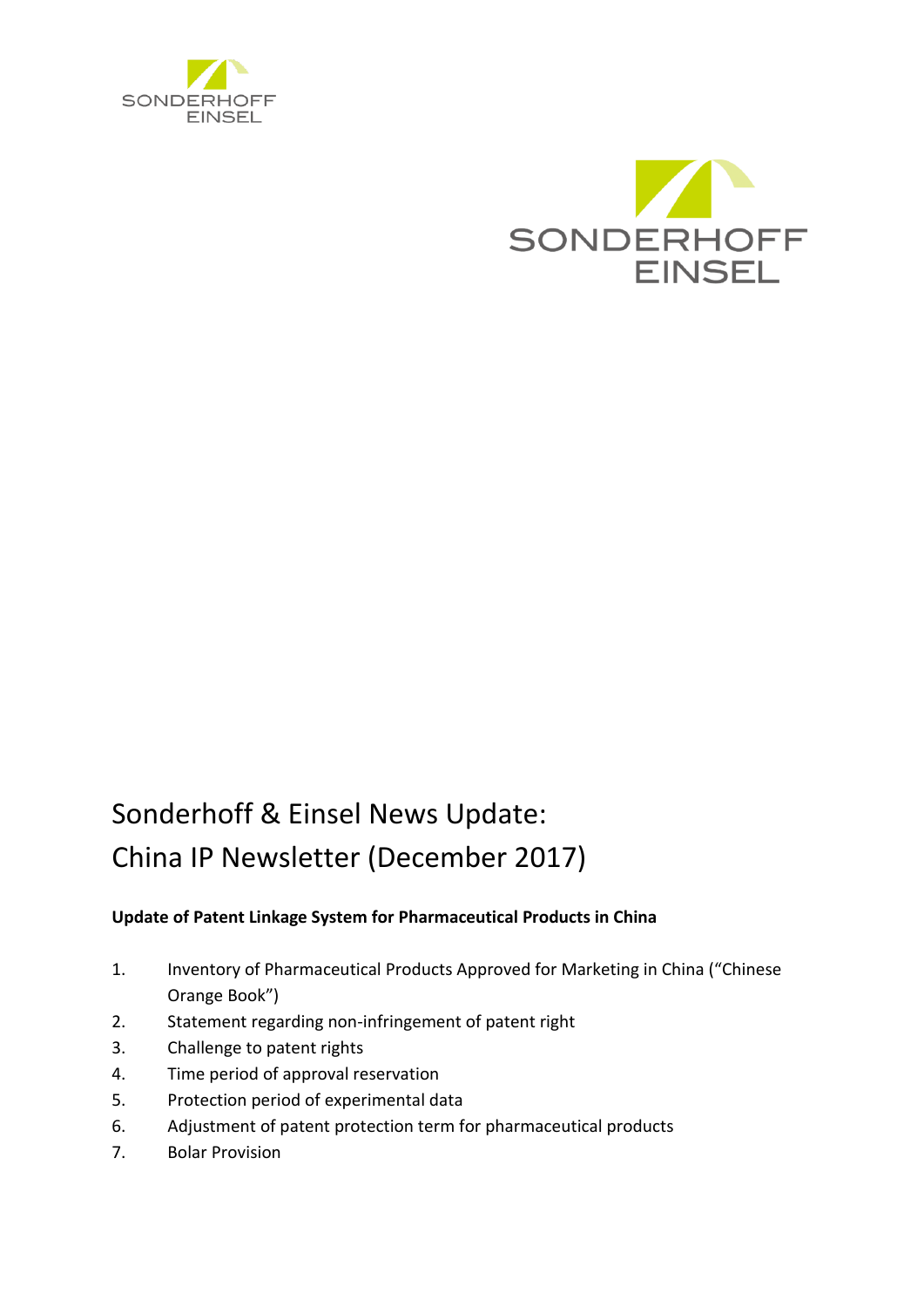



# Sonderhoff & Einsel News Update: China IP Newsletter (December 2017)

# **Update of Patent Linkage System for Pharmaceutical Products in China**

- 1. Inventory of Pharmaceutical Products Approved for Marketing in China ("Chinese Orange Book")
- 2. Statement regarding non-infringement of patent right
- 3. Challenge to patent rights
- 4. Time period of approval reservation
- 5. Protection period of experimental data
- 6. Adjustment of patent protection term for pharmaceutical products
- 7. Bolar Provision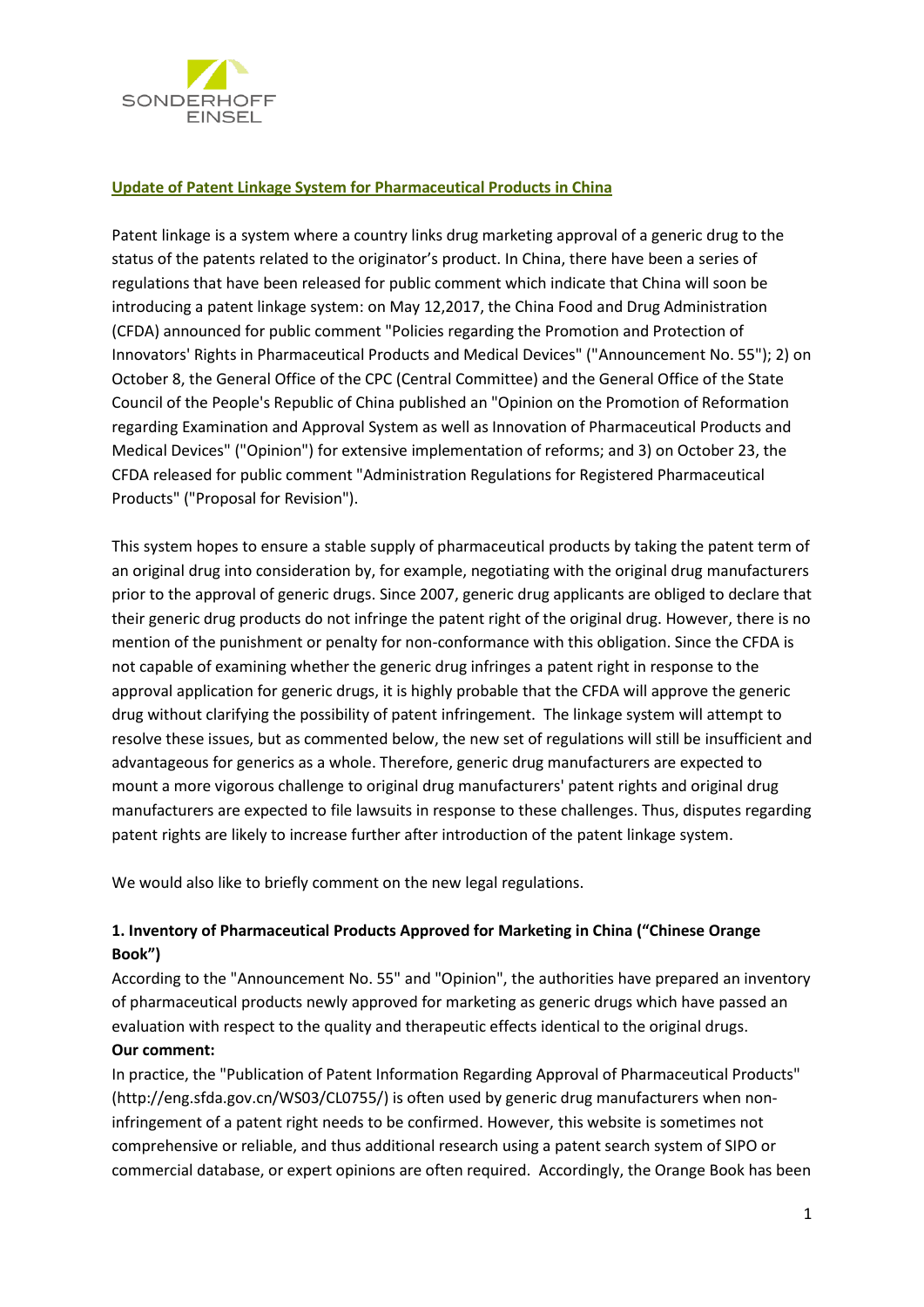

#### **Update of Patent Linkage System for Pharmaceutical Products in China**

Patent linkage is a system where a country links drug marketing approval of a generic drug to the status of the patents related to the originator's product. In China, there have been a series of regulations that have been released for public comment which indicate that China will soon be introducing a patent linkage system: on May 12,2017, the China Food and Drug Administration (CFDA) announced for public comment "Policies regarding the Promotion and Protection of Innovators' Rights in Pharmaceutical Products and Medical Devices" ("Announcement No. 55"); 2) on October 8, the General Office of the CPC (Central Committee) and the General Office of the State Council of the People's Republic of China published an "Opinion on the Promotion of Reformation regarding Examination and Approval System as well as Innovation of Pharmaceutical Products and Medical Devices" ("Opinion") for extensive implementation of reforms; and 3) on October 23, the CFDA released for public comment "Administration Regulations for Registered Pharmaceutical Products" ("Proposal for Revision").

This system hopes to ensure a stable supply of pharmaceutical products by taking the patent term of an original drug into consideration by, for example, negotiating with the original drug manufacturers prior to the approval of generic drugs. Since 2007, generic drug applicants are obliged to declare that their generic drug products do not infringe the patent right of the original drug. However, there is no mention of the punishment or penalty for non-conformance with this obligation. Since the CFDA is not capable of examining whether the generic drug infringes a patent right in response to the approval application for generic drugs, it is highly probable that the CFDA will approve the generic drug without clarifying the possibility of patent infringement. The linkage system will attempt to resolve these issues, but as commented below, the new set of regulations will still be insufficient and advantageous for generics as a whole. Therefore, generic drug manufacturers are expected to mount a more vigorous challenge to original drug manufacturers' patent rights and original drug manufacturers are expected to file lawsuits in response to these challenges. Thus, disputes regarding patent rights are likely to increase further after introduction of the patent linkage system.

We would also like to briefly comment on the new legal regulations.

## **1. Inventory of Pharmaceutical Products Approved for Marketing in China ("Chinese Orange Book")**

According to the "Announcement No. 55" and "Opinion", the authorities have prepared an inventory of pharmaceutical products newly approved for marketing as generic drugs which have passed an evaluation with respect to the quality and therapeutic effects identical to the original drugs. **Our comment:**

In practice, the "Publication of Patent Information Regarding Approval of Pharmaceutical Products" (http://eng.sfda.gov.cn/WS03/CL0755/) is often used by generic drug manufacturers when noninfringement of a patent right needs to be confirmed. However, this website is sometimes not comprehensive or reliable, and thus additional research using a patent search system of SIPO or commercial database, or expert opinions are often required. Accordingly, the Orange Book has been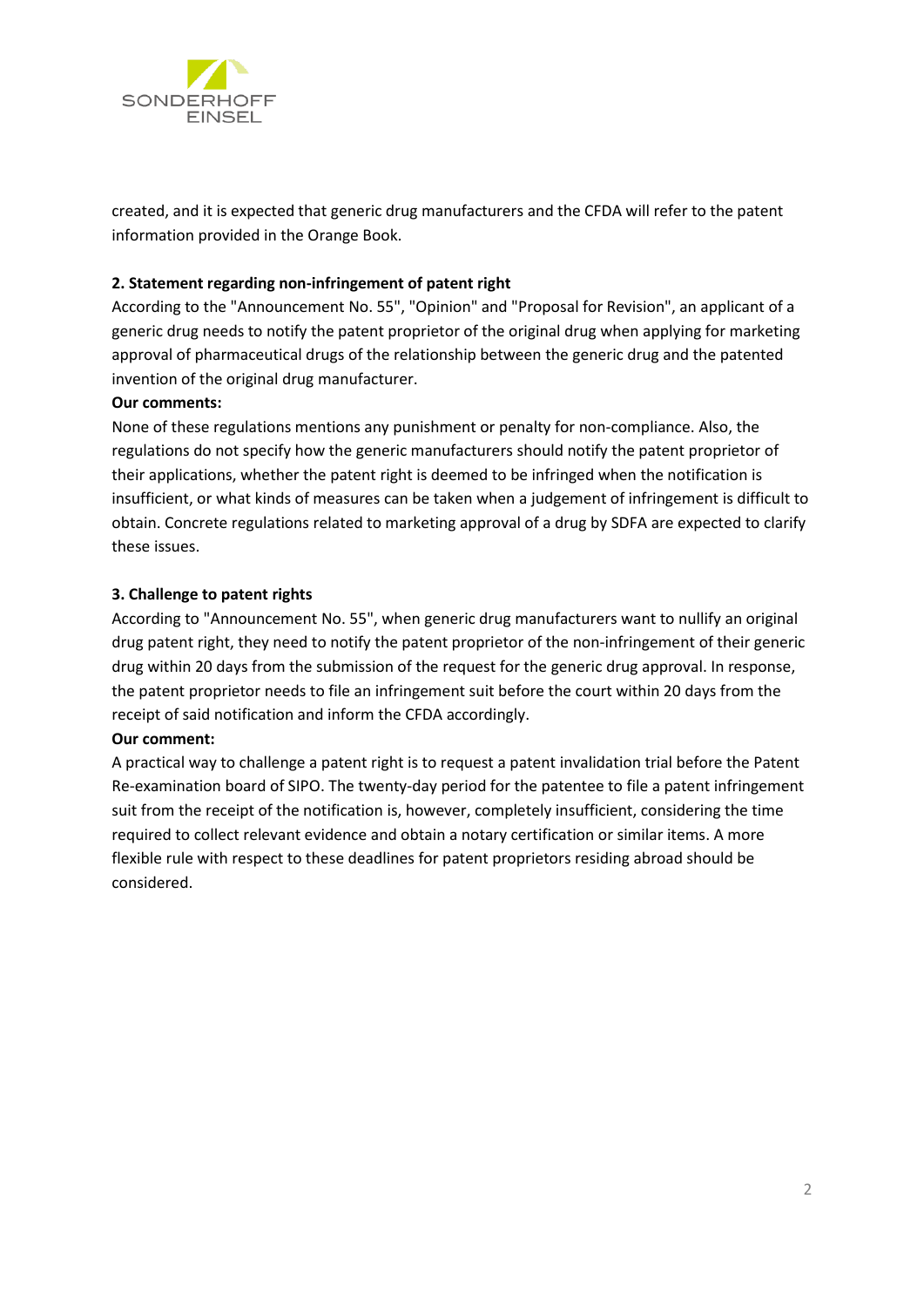

created, and it is expected that generic drug manufacturers and the CFDA will refer to the patent information provided in the Orange Book.

## **2. Statement regarding non-infringement of patent right**

According to the "Announcement No. 55", "Opinion" and "Proposal for Revision", an applicant of a generic drug needs to notify the patent proprietor of the original drug when applying for marketing approval of pharmaceutical drugs of the relationship between the generic drug and the patented invention of the original drug manufacturer.

#### **Our comments:**

None of these regulations mentions any punishment or penalty for non-compliance. Also, the regulations do not specify how the generic manufacturers should notify the patent proprietor of their applications, whether the patent right is deemed to be infringed when the notification is insufficient, or what kinds of measures can be taken when a judgement of infringement is difficult to obtain. Concrete regulations related to marketing approval of a drug by SDFA are expected to clarify these issues.

## **3. Challenge to patent rights**

According to "Announcement No. 55", when generic drug manufacturers want to nullify an original drug patent right, they need to notify the patent proprietor of the non-infringement of their generic drug within 20 days from the submission of the request for the generic drug approval. In response, the patent proprietor needs to file an infringement suit before the court within 20 days from the receipt of said notification and inform the CFDA accordingly.

#### **Our comment:**

A practical way to challenge a patent right is to request a patent invalidation trial before the Patent Re-examination board of SIPO. The twenty-day period for the patentee to file a patent infringement suit from the receipt of the notification is, however, completely insufficient, considering the time required to collect relevant evidence and obtain a notary certification or similar items. A more flexible rule with respect to these deadlines for patent proprietors residing abroad should be considered.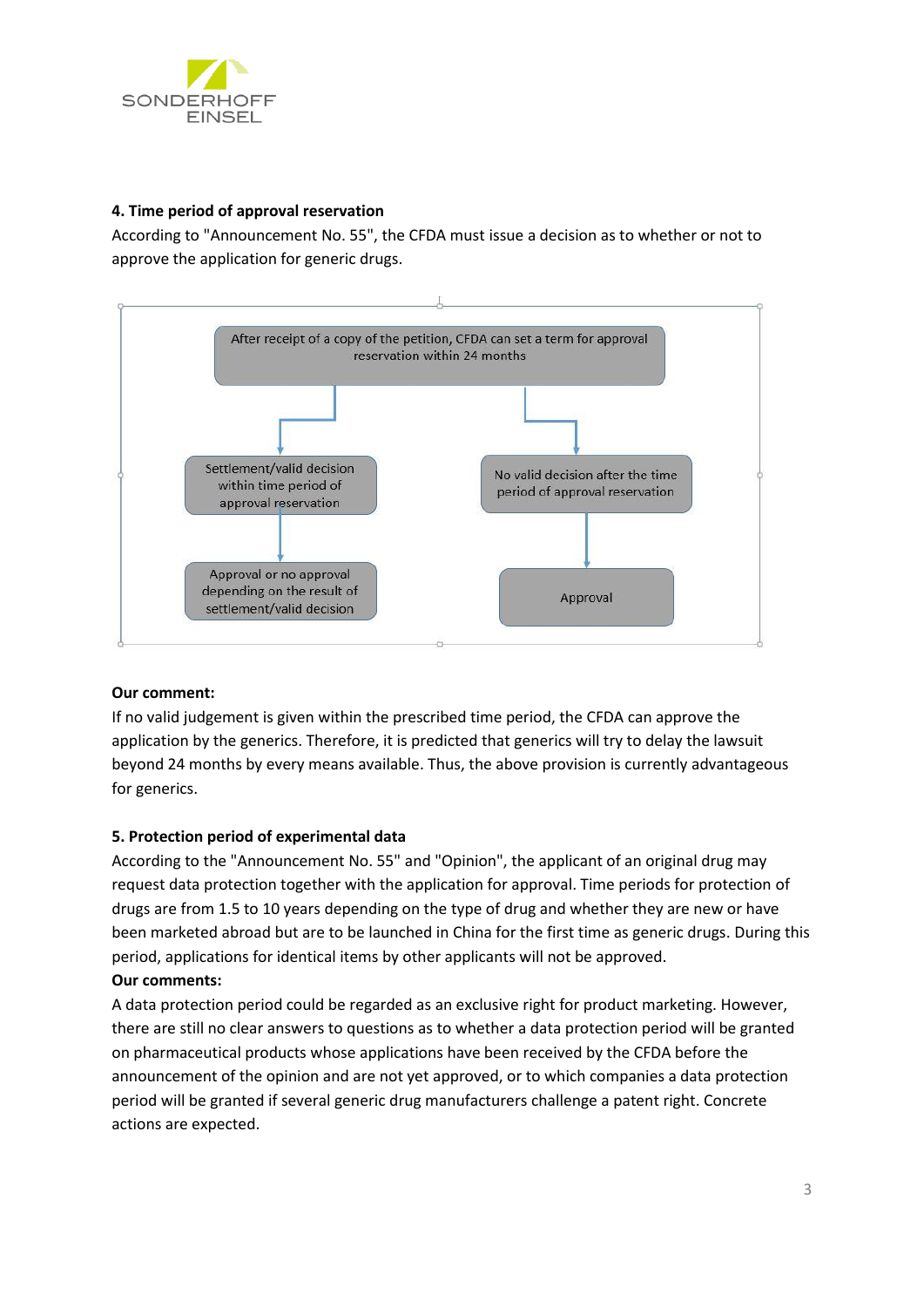

#### **4. Time period of approval reservation**

According to "Announcement No. 55", the CFDA must issue a decision as to whether or not to approve the application for generic drugs.



## **Our comment:**

If no valid judgement is given within the prescribed time period, the CFDA can approve the application by the generics. Therefore, it is predicted that generics will try to delay the lawsuit beyond 24 months by every means available. Thus, the above provision is currently advantageous for generics.

#### **5. Protection period of experimental data**

According to the "Announcement No. 55" and "Opinion", the applicant of an original drug may request data protection together with the application for approval. Time periods for protection of drugs are from 1.5 to 10 years depending on the type of drug and whether they are new or have been marketed abroad but are to be launched in China for the first time as generic drugs. During this period, applications for identical items by other applicants will not be approved. **Our comments:**

A data protection period could be regarded as an exclusive right for product marketing. However, there are still no clear answers to questions as to whether a data protection period will be granted on pharmaceutical products whose applications have been received by the CFDA before the announcement of the opinion and are not yet approved, or to which companies a data protection period will be granted if several generic drug manufacturers challenge a patent right. Concrete actions are expected.